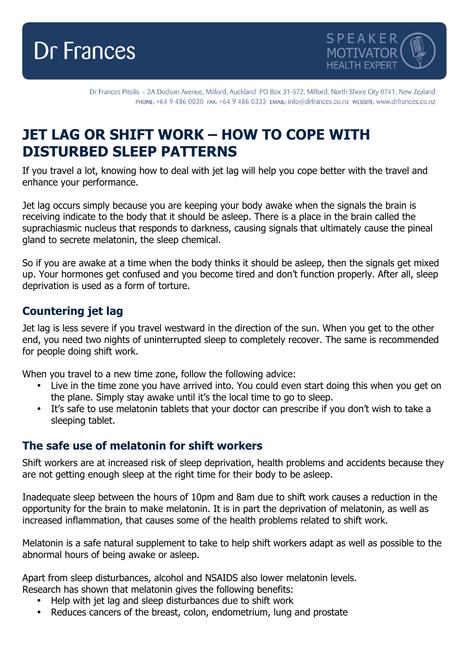



Dr Frances Pitsilis - 2A Dodson Avenue, Milford, Auckland PO Box 31-572, Milford, North Shore City 0741, New Zealand PHONE: +64 9 486 0030 FAX: +64 9 486 0333 EMAIL: info@drfrances.co.nz wEBSITE: www.drfrances.co.nz

## **JET LAG OR SHIFT WORK – HOW TO COPE WITH DISTURBED SLEEP PATTERNS**

If you travel a lot, knowing how to deal with jet lag will help you cope better with the travel and enhance your performance.

Jet lag occurs simply because you are keeping your body awake when the signals the brain is receiving indicate to the body that it should be asleep. There is a place in the brain called the suprachiasmic nucleus that responds to darkness, causing signals that ultimately cause the pineal gland to secrete melatonin, the sleep chemical.

So if you are awake at a time when the body thinks it should be asleep, then the signals get mixed up. Your hormones get confused and you become tired and don't function properly. After all, sleep deprivation is used as a form of torture.

## **Countering jet lag**

Jet lag is less severe if you travel westward in the direction of the sun. When you get to the other end, you need two nights of uninterrupted sleep to completely recover. The same is recommended for people doing shift work.

When you travel to a new time zone, follow the following advice:

- Live in the time zone you have arrived into. You could even start doing this when you get on the plane. Simply stay awake until it's the local time to go to sleep.
- It's safe to use melatonin tablets that your doctor can prescribe if you don't wish to take a sleeping tablet.

## **The safe use of melatonin for shift workers**

Shift workers are at increased risk of sleep deprivation, health problems and accidents because they are not getting enough sleep at the right time for their body to be asleep.

Inadequate sleep between the hours of 10pm and 8am due to shift work causes a reduction in the opportunity for the brain to make melatonin. It is in part the deprivation of melatonin, as well as increased inflammation, that causes some of the health problems related to shift work.

Melatonin is a safe natural supplement to take to help shift workers adapt as well as possible to the abnormal hours of being awake or asleep.

Apart from sleep disturbances, alcohol and NSAIDS also lower melatonin levels.

- Research has shown that melatonin gives the following benefits:
	- Help with jet lag and sleep disturbances due to shift work
	- Reduces cancers of the breast, colon, endometrium, lung and prostate